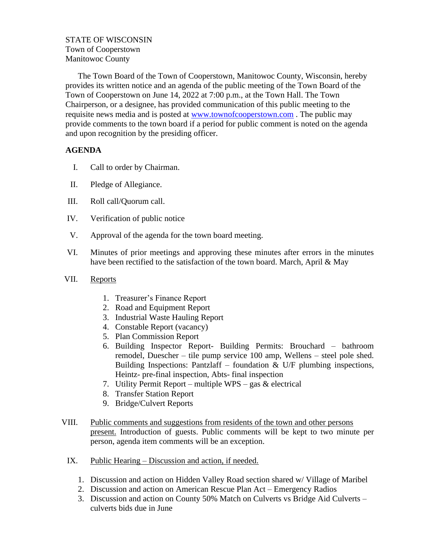## STATE OF WISCONSIN Town of Cooperstown Manitowoc County

The Town Board of the Town of Cooperstown, Manitowoc County, Wisconsin, hereby provides its written notice and an agenda of the public meeting of the Town Board of the Town of Cooperstown on June 14, 2022 at 7:00 p.m., at the Town Hall. The Town Chairperson, or a designee, has provided communication of this public meeting to the requisite news media and is posted at [www.townofcooperstown.com](http://www.townofcooperstown.com/) . The public may provide comments to the town board if a period for public comment is noted on the agenda and upon recognition by the presiding officer.

## **AGENDA**

- I. Call to order by Chairman.
- II. Pledge of Allegiance.
- III. Roll call/Quorum call.
- IV. Verification of public notice
- V. Approval of the agenda for the town board meeting.
- VI. Minutes of prior meetings and approving these minutes after errors in the minutes have been rectified to the satisfaction of the town board. March, April & May
- VII. Reports
	- 1. Treasurer's Finance Report
	- 2. Road and Equipment Report
	- 3. Industrial Waste Hauling Report
	- 4. Constable Report (vacancy)
	- 5. Plan Commission Report
	- 6. Building Inspector Report- Building Permits: Brouchard bathroom remodel, Duescher – tile pump service 100 amp, Wellens – steel pole shed. Building Inspections: Pantzlaff – foundation  $& U/F$  plumbing inspections, Heintz- pre-final inspection, Abts- final inspection
	- 7. Utility Permit Report multiple WPS gas & electrical
	- 8. Transfer Station Report
	- 9. Bridge/Culvert Reports
- VIII. Public comments and suggestions from residents of the town and other persons present. Introduction of guests. Public comments will be kept to two minute per person, agenda item comments will be an exception.
	- IX. Public Hearing Discussion and action, if needed.
		- 1. Discussion and action on Hidden Valley Road section shared w/ Village of Maribel
		- 2. Discussion and action on American Rescue Plan Act Emergency Radios
		- 3. Discussion and action on County 50% Match on Culverts vs Bridge Aid Culverts culverts bids due in June